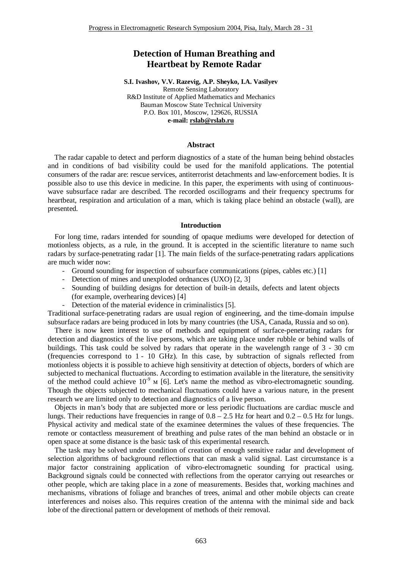# **Detection of Human Breathing and Heartbeat by Remote Radar**

**S.I. Ivashov, V.V. Razevig, A.P. Sheyko, I.A. Vasilyev** Remote Sensing Laboratory R&D Institute of Applied Mathematics and Mechanics Bauman Moscow State Technical University P.O. Box 101, Moscow, 129626, RUSSIA **e-mail: [rslab@rslab.ru](mailto:rslab@rslab.ru)**

## **Abstract**

The radar capable to detect and perform diagnostics of a state of the human being behind obstacles and in conditions of bad visibility could be used for the manifold applications. The potential consumers of the radar are: rescue services, antiterrorist detachments and law-enforcement bodies. It is possible also to use this device in medicine. In this paper, the experiments with using of continuouswave subsurface radar are described. The recorded oscillograms and their frequency spectrums for heartbeat, respiration and articulation of a man, which is taking place behind an obstacle (wall), are presented.

#### **Introduction**

For long time, radars intended for sounding of opaque mediums were developed for detection of motionless objects, as a rule, in the ground. It is accepted in the scientific literature to name such radars by surface-penetrating radar [1]. The main fields of the surface-penetrating radars applications are much wider now:

- Ground sounding for inspection of subsurface communications (pipes, cables etc.) [1]
- Detection of mines and unexploded ordnances (UXO) [2, 3]
- Sounding of building designs for detection of built-in details, defects and latent objects (for example, overhearing devices) [4]
- Detection of the material evidence in criminalistics [5].

Traditional surface-penetrating radars are usual region of engineering, and the time-domain impulse subsurface radars are being produced in lots by many countries (the USA, Canada, Russia and so on).

There is now keen interest to use of methods and equipment of surface-penetrating radars for detection and diagnostics of the live persons, which are taking place under rubble or behind walls of buildings. This task could be solved by radars that operate in the wavelength range of 3 - 30 cm (frequencies correspond to 1 - 10 GHz). In this case, by subtraction of signals reflected from motionless objects it is possible to achieve high sensitivity at detection of objects, borders of which are subjected to mechanical fluctuations. According to estimation available in the literature, the sensitivity of the method could achieve  $10^{-9}$  M [6]. Let's name the method as vibro-electromagnetic sounding. Though the objects subjected to mechanical fluctuations could have a various nature, in the present research we are limited only to detection and diagnostics of a live person.

Objects in man's body that are subjected more or less periodic fluctuations are cardiac muscle and lungs. Their reductions have frequencies in range of  $0.8 - 2.5$  Hz for heart and  $0.2 - 0.5$  Hz for lungs. Physical activity and medical state of the examinee determines the values of these frequencies. The remote or contactless measurement of breathing and pulse rates of the man behind an obstacle or in open space at some distance is the basic task of this experimental research.

The task may be solved under condition of creation of enough sensitive radar and development of selection algorithms of background reflections that can mask a valid signal. Last circumstance is a major factor constraining application of vibro-electromagnetic sounding for practical using. Background signals could be connected with reflections from the operator carrying out researches or other people, which are taking place in a zone of measurements. Besides that, working machines and mechanisms, vibrations of foliage and branches of trees, animal and other mobile objects can create interferences and noises also. This requires creation of the antenna with the minimal side and back lobe of the directional pattern or development of methods of their removal.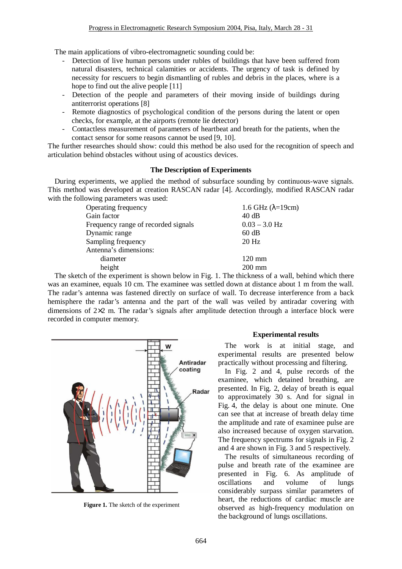The main applications of vibro-electromagnetic sounding could be:

- Detection of live human persons under rubles of buildings that have been suffered from natural disasters, technical calamities or accidents. The urgency of task is defined by necessity for rescuers to begin dismantling of rubles and debris in the places, where is a hope to find out the alive people [11]
- Detection of the people and parameters of their moving inside of buildings during antiterrorist operations [8]
- Remote diagnostics of psychological condition of the persons during the latent or open checks, for example, at the airports (remote lie detector)
- Contactless measurement of parameters of heartbeat and breath for the patients, when the contact sensor for some reasons cannot be used [9, 10].

The further researches should show: could this method be also used for the recognition of speech and articulation behind obstacles without using of acoustics devices.

## **The Description of Experiments**

During experiments, we applied the method of subsurface sounding by continuous-wave signals. This method was developed at creation RASCAN radar [4]. Accordingly, modified RASCAN radar with the following parameters was used:

| Operating frequency                 | 1.6 GHz $(\lambda=19cm)$ |
|-------------------------------------|--------------------------|
| Gain factor                         | 40dB                     |
| Frequency range of recorded signals | $0.03 - 3.0$ Hz          |
| Dynamic range                       | 60 dB                    |
| Sampling frequency                  | $20$ Hz                  |
| Antenna's dimensions:               |                          |
| diameter                            | $120 \text{ mm}$         |
| height                              | $200 \text{ mm}$         |
|                                     |                          |

The sketch of the experiment is shown below in Fig. 1. The thickness of a wall, behind which there was an examinee, equals 10 cm. The examinee was settled down at distance about 1 m from the wall. The radar's antenna was fastened directly on surface of wall. To decrease interference from a back hemisphere the radar's antenna and the part of the wall was veiled by antiradar covering with dimensions of  $2\times2$  m. The radar's signals after amplitude detection through a interface block were recorded in computer memory.



**Figure 1.** The sketch of the experiment

## **Experimental results**

The work is at initial stage, and experimental results are presented below practically without processing and filtering.

In Fig. 2 and 4, pulse records of the examinee, which detained breathing, are presented. In Fig. 2, delay of breath is equal to approximately 30 s. And for signal in Fig. 4, the delay is about one minute. One can see that at increase of breath delay time the amplitude and rate of examinee pulse are also increased because of oxygen starvation. The frequency spectrums for signals in Fig. 2 and 4 are shown in Fig. 3 and 5 respectively.

The results of simultaneous recording of pulse and breath rate of the examinee are presented in Fig. 6. As amplitude of oscillations and volume of lungs considerably surpass similar parameters of heart, the reductions of cardiac muscle are observed as high-frequency modulation on the background of lungs oscillations.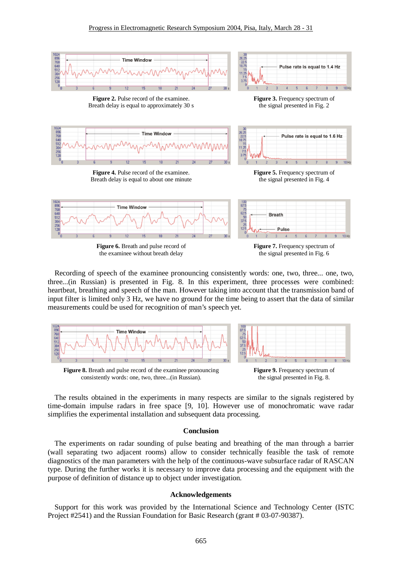

the examinee without breath delay

the signal presented in Fig. 6

Recording of speech of the examinee pronouncing consistently words: one, two, three... one, two, three...(in Russian) is presented in Fig. 8. In this experiment, three processes were combined: heartbeat, breathing and speech of the man. However taking into account that the transmission band of input filter is limited only 3 Hz, we have no ground for the time being to assert that the data of similar measurements could be used for recognition of man's speech yet.



**Figure 8.** Breath and pulse record of the examinee pronouncing consistently words: one, two, three...(in Russian).



The results obtained in the experiments in many respects are similar to the signals registered by time-domain impulse radars in free space [9, 10]. However use of monochromatic wave radar simplifies the experimental installation and subsequent data processing.

## **Conclusion**

The experiments on radar sounding of pulse beating and breathing of the man through a barrier (wall separating two adjacent rooms) allow to consider technically feasible the task of remote diagnostics of the man parameters with the help of the continuous-wave subsurface radar of RASCAN type. During the further works it is necessary to improve data processing and the equipment with the purpose of definition of distance up to object under investigation.

#### **Acknowledgements**

Support for this work was provided by the International Science and Technology Center (ISTC Project #2541) and the Russian Foundation for Basic Research (grant # 03-07-90387).